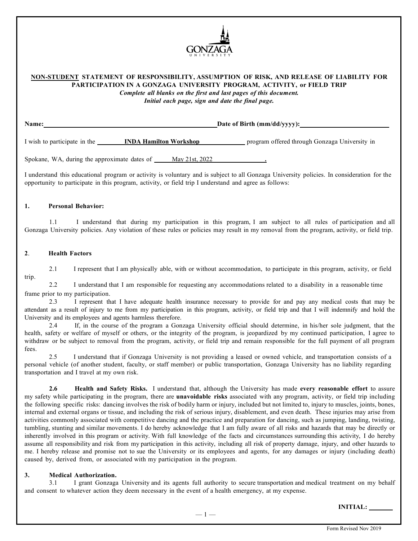

# **NON-STUDENT STATEMENT OF RESPONSIBILITY, ASSUMPTION OF RISK, AND RELEASE OF LIABILITY FOR PARTICIPATION IN A GONZAGA UNIVERSITY PROGRAM, ACTIVITY, or FIELD TRIP**

*Complete all blanks on the first and last pages of this document. Initial each page, sign and date the final page.*

| Name:                        |                               | $\Delta$ Date of Birth (mm/dd/yyyy):          |
|------------------------------|-------------------------------|-----------------------------------------------|
| I wish to participate in the | <b>INDA Hamilton Workshop</b> | program offered through Gonzaga University in |

Spokane, WA, during the approximate dates of May 21st, 2022 **.**

I understand this educational program or activity is voluntary and is subject to all Gonzaga University policies. In consideration for the opportunity to participate in this program, activity, or field trip I understand and agree as follows:

### **1. Personal Behavior:**

1.1 I understand that during my participation in this program, I am subject to all rules of participation and all Gonzaga University policies. Any violation of these rules or policies may result in my removal from the program, activity, or field trip.

### **2**. **Health Factors**

trip. 2.1 I represent that I am physically able, with or without accommodation, to participate in this program, activity, or field

2.2 I understand that I am responsible for requesting any accommodations related to a disability in a reasonable time frame prior to my participation.

2.3 I represent that I have adequate health insurance necessary to provide for and pay any medical costs that may be attendant as a result of injury to me from my participation in this program, activity, or field trip and that I will indemnify and hold the University and its employees and agents harmless therefore.

2.4 If, in the course of the program a Gonzaga University official should determine, in his/her sole judgment, that the health, safety or welfare of myself or others, or the integrity of the program, is jeopardized by my continued participation, I agree to withdraw or be subject to removal from the program, activity, or field trip and remain responsible for the full payment of all program fees.

2.5 I understand that if Gonzaga University is not providing a leased or owned vehicle, and transportation consists of a personal vehicle (of another student, faculty, or staff member) or public transportation, Gonzaga University has no liability regarding transportation and I travel at my own risk.

**2.6 Health and Safety Risks.** I understand that, although the University has made **every reasonable effort** to assure my safety while participating in the program, there are **unavoidable risks** associated with any program, activity, or field trip including the following specific risks: dancing involves the risk of bodily harm or injury, included but not limited to, injury to muscles, joints, bones, internal and external organs or tissue, and including the risk of serious injury, disablement, and even death. These injuries may arise from activities commonly associated with competitive dancing and the practice and preparation for dancing, such as jumping, landing, twisting, tumbling, stunting and similar movements. I do hereby acknowledge that I am fully aware of all risks and hazards that may be directly or inherently involved in this program or activity. With full knowledge of the facts and circumstances surrounding this activity, I do hereby assume all responsibility and risk from my participation in this activity, including all risk of property damage, injury, and other hazards to me. I hereby release and promise not to sue the University or its employees and agents, for any damages or injury (including death) caused by, derived from, or associated with my participation in the program.

# **3. Medical Authorization.**

3.1 I grant Gonzaga University and its agents full authority to secure transportation and medical treatment on my behalf and consent to whatever action they deem necessary in the event of a health emergency, at my expense.

**INITIAL:**

 $-1-$